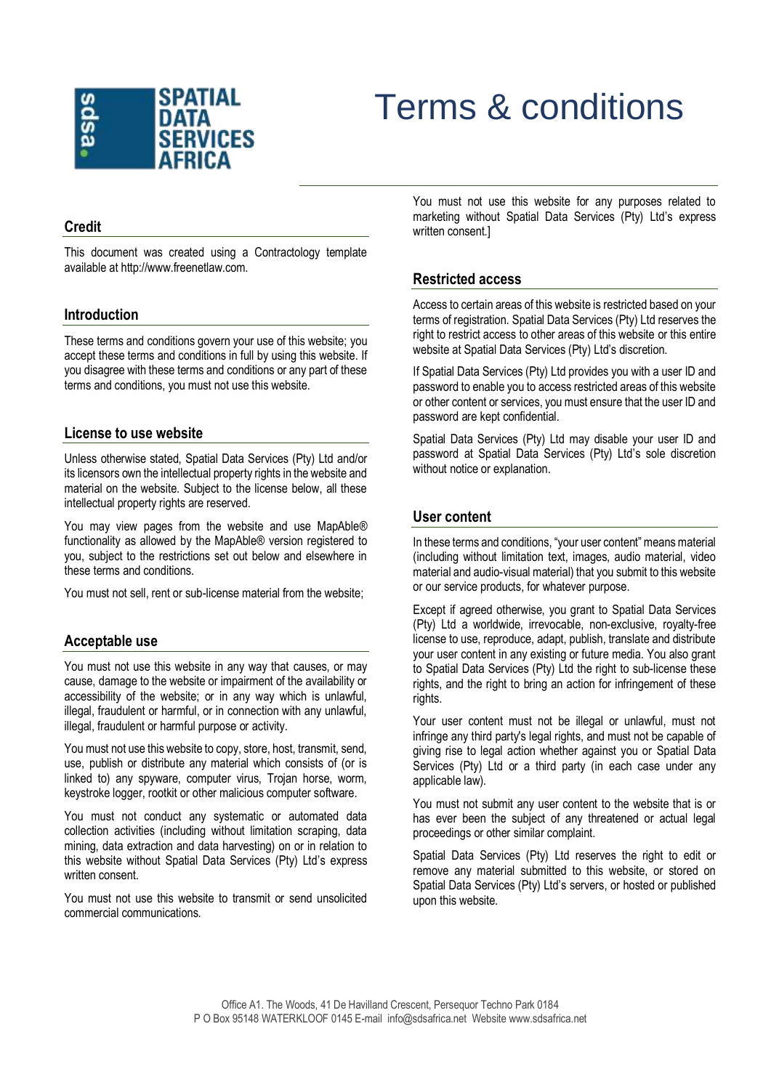

# Terms & conditions

# **Credit**

This document was created using a Contractology template available at http://www.freenetlaw.com.

#### **Introduction**

These terms and conditions govern your use of this website; you accept these terms and conditions in full by using this website. If you disagree with these terms and conditions or any part of these terms and conditions, you must not use this website.

#### **License to use website**

Unless otherwise stated, Spatial Data Services (Pty) Ltd and/or its licensors own the intellectual property rights in the website and material on the website. Subject to the license below, all these intellectual property rights are reserved.

You may view pages from the website and use MapAble® functionality as allowed by the MapAble® version registered to you, subject to the restrictions set out below and elsewhere in these terms and conditions.

You must not sell, rent or sub-license material from the website;

## **Acceptable use**

You must not use this website in any way that causes, or may cause, damage to the website or impairment of the availability or accessibility of the website; or in any way which is unlawful, illegal, fraudulent or harmful, or in connection with any unlawful, illegal, fraudulent or harmful purpose or activity.

You must not use this website to copy, store, host, transmit, send, use, publish or distribute any material which consists of (or is linked to) any spyware, computer virus, Trojan horse, worm, keystroke logger, rootkit or other malicious computer software.

You must not conduct any systematic or automated data collection activities (including without limitation scraping, data mining, data extraction and data harvesting) on or in relation to this website without Spatial Data Services (Pty) Ltd's express written consent.

You must not use this website to transmit or send unsolicited commercial communications.

You must not use this website for any purposes related to marketing without Spatial Data Services (Pty) Ltd's express written consent.]

# **Restricted access**

Access to certain areas of this website is restricted based on your terms of registration. Spatial Data Services (Pty) Ltd reserves the right to restrict access to other areas of this website or this entire website at Spatial Data Services (Pty) Ltd's discretion.

If Spatial Data Services (Pty) Ltd provides you with a user ID and password to enable you to access restricted areas of this website or other content or services, you must ensure that the user ID and password are kept confidential.

Spatial Data Services (Pty) Ltd may disable your user ID and password at Spatial Data Services (Pty) Ltd's sole discretion without notice or explanation.

# **User content**

In these terms and conditions, "your user content" means material (including without limitation text, images, audio material, video material and audio-visual material) that you submit to this website or our service products, for whatever purpose.

Except if agreed otherwise, you grant to Spatial Data Services (Pty) Ltd a worldwide, irrevocable, non-exclusive, royalty-free license to use, reproduce, adapt, publish, translate and distribute your user content in any existing or future media. You also grant to Spatial Data Services (Pty) Ltd the right to sub-license these rights, and the right to bring an action for infringement of these rights.

Your user content must not be illegal or unlawful, must not infringe any third party's legal rights, and must not be capable of giving rise to legal action whether against you or Spatial Data Services (Pty) Ltd or a third party (in each case under any applicable law).

You must not submit any user content to the website that is or has ever been the subject of any threatened or actual legal proceedings or other similar complaint.

Spatial Data Services (Pty) Ltd reserves the right to edit or remove any material submitted to this website, or stored on Spatial Data Services (Pty) Ltd's servers, or hosted or published upon this website.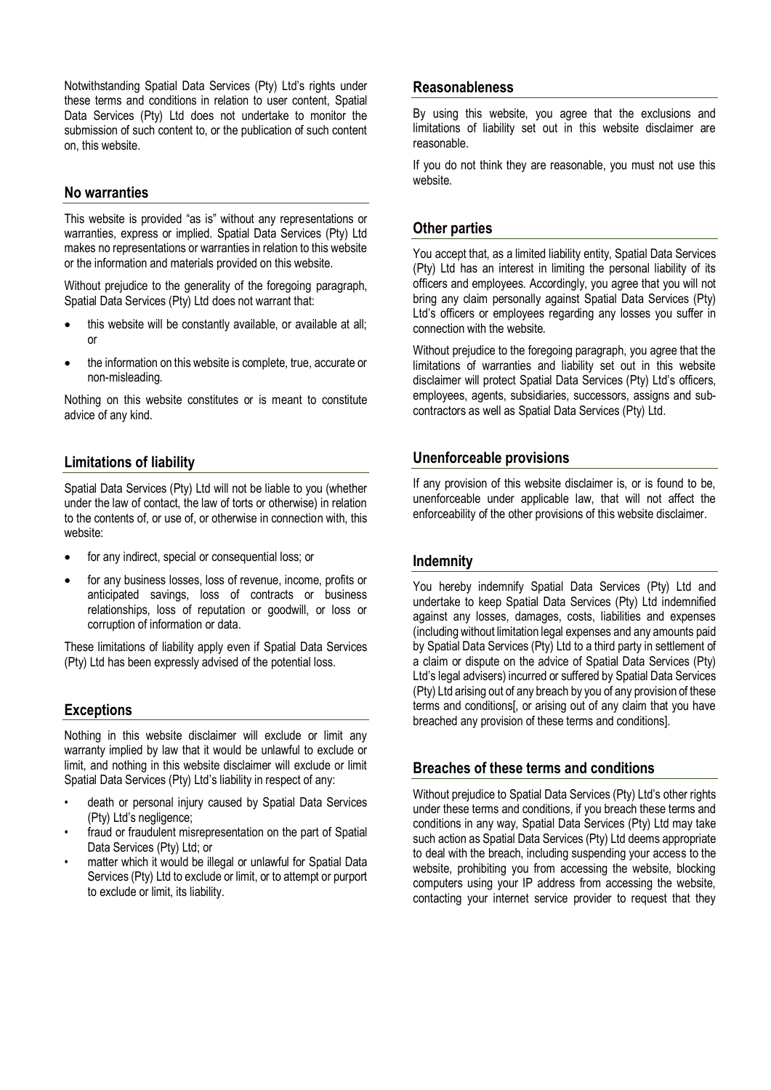Notwithstanding Spatial Data Services (Pty) Ltd's rights under these terms and conditions in relation to user content, Spatial Data Services (Pty) Ltd does not undertake to monitor the submission of such content to, or the publication of such content on, this website.

## **No warranties**

This website is provided "as is" without any representations or warranties, express or implied. Spatial Data Services (Pty) Ltd makes no representations or warranties in relation to this website or the information and materials provided on this website.

Without prejudice to the generality of the foregoing paragraph, Spatial Data Services (Pty) Ltd does not warrant that:

- this website will be constantly available, or available at all; or
- the information on this website is complete, true, accurate or non-misleading.

Nothing on this website constitutes or is meant to constitute advice of any kind.

# **Limitations of liability**

Spatial Data Services (Pty) Ltd will not be liable to you (whether under the law of contact, the law of torts or otherwise) in relation to the contents of, or use of, or otherwise in connection with, this website:

- for any indirect, special or consequential loss; or
- for any business losses, loss of revenue, income, profits or anticipated savings, loss of contracts or business relationships, loss of reputation or goodwill, or loss or corruption of information or data.

These limitations of liability apply even if Spatial Data Services (Pty) Ltd has been expressly advised of the potential loss.

## **Exceptions**

Nothing in this website disclaimer will exclude or limit any warranty implied by law that it would be unlawful to exclude or limit, and nothing in this website disclaimer will exclude or limit Spatial Data Services (Pty) Ltd's liability in respect of any:

- death or personal injury caused by Spatial Data Services (Pty) Ltd's negligence;
- fraud or fraudulent misrepresentation on the part of Spatial Data Services (Pty) Ltd; or
- matter which it would be illegal or unlawful for Spatial Data Services (Pty) Ltd to exclude or limit, or to attempt or purport to exclude or limit, its liability.

#### **Reasonableness**

By using this website, you agree that the exclusions and limitations of liability set out in this website disclaimer are reasonable.

If you do not think they are reasonable, you must not use this website.

# **Other parties**

You accept that, as a limited liability entity, Spatial Data Services (Pty) Ltd has an interest in limiting the personal liability of its officers and employees. Accordingly, you agree that you will not bring any claim personally against Spatial Data Services (Pty) Ltd's officers or employees regarding any losses you suffer in connection with the website.

Without prejudice to the foregoing paragraph, you agree that the limitations of warranties and liability set out in this website disclaimer will protect Spatial Data Services (Pty) Ltd's officers, employees, agents, subsidiaries, successors, assigns and subcontractors as well as Spatial Data Services (Pty) Ltd.

## **Unenforceable provisions**

If any provision of this website disclaimer is, or is found to be, unenforceable under applicable law, that will not affect the enforceability of the other provisions of this website disclaimer.

## **Indemnity**

You hereby indemnify Spatial Data Services (Pty) Ltd and undertake to keep Spatial Data Services (Pty) Ltd indemnified against any losses, damages, costs, liabilities and expenses (including without limitation legal expenses and any amounts paid by Spatial Data Services (Pty) Ltd to a third party in settlement of a claim or dispute on the advice of Spatial Data Services (Pty) Ltd's legal advisers) incurred or suffered by Spatial Data Services (Pty) Ltd arising out of any breach by you of any provision of these terms and conditions[, or arising out of any claim that you have breached any provision of these terms and conditions].

# **Breaches of these terms and conditions**

Without prejudice to Spatial Data Services (Pty) Ltd's other rights under these terms and conditions, if you breach these terms and conditions in any way, Spatial Data Services (Pty) Ltd may take such action as Spatial Data Services (Pty) Ltd deems appropriate to deal with the breach, including suspending your access to the website, prohibiting you from accessing the website, blocking computers using your IP address from accessing the website, contacting your internet service provider to request that they